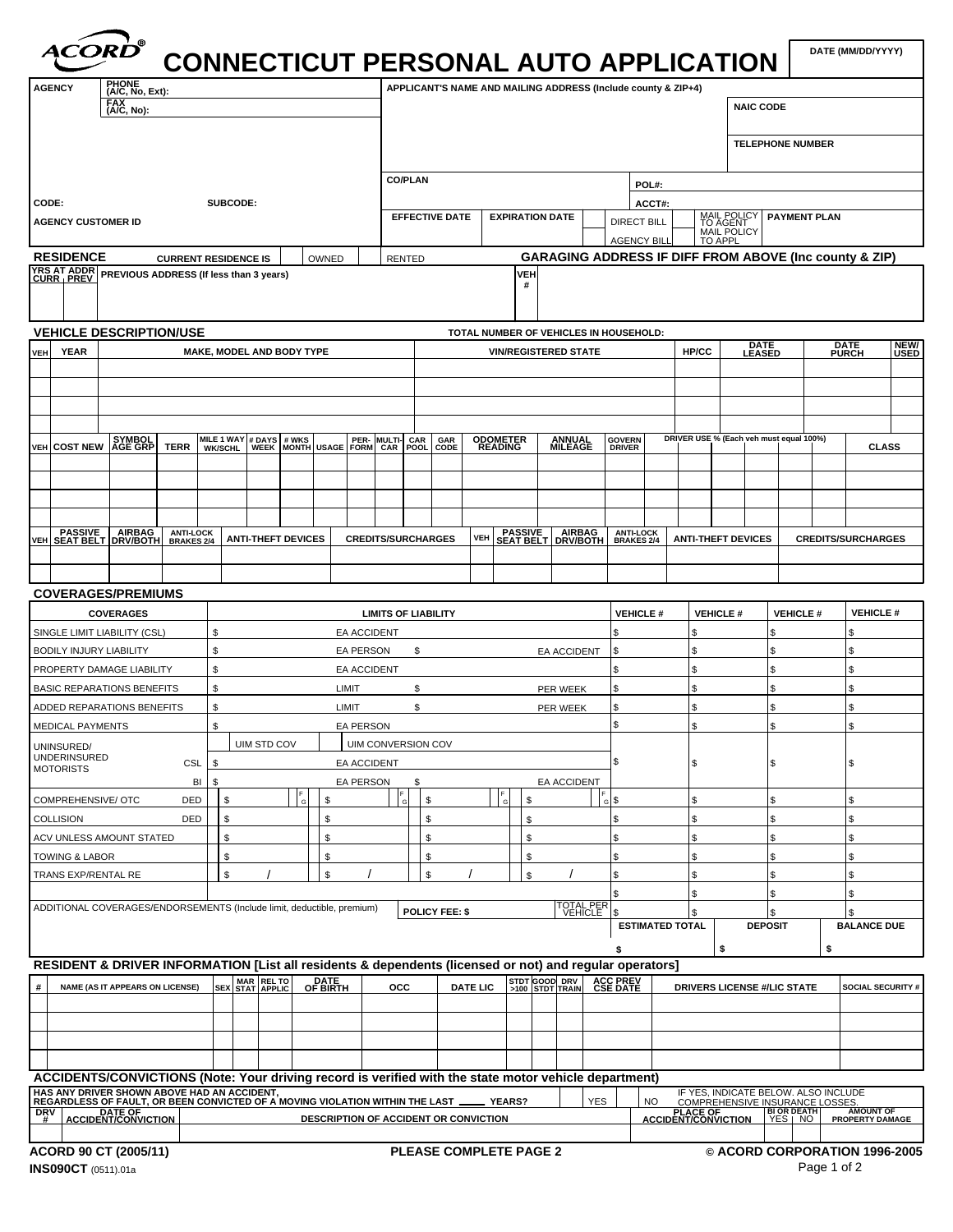|                                         | ACORD®                                                                                                                                                                                                                             |                             |                       |                                          |                                  |                                                               | <b>CONNECTICUT PERSONAL AUTO APPLICATION  </b> |                                                                                                                                        | DATE (MM/DD/YYYY)       |
|-----------------------------------------|------------------------------------------------------------------------------------------------------------------------------------------------------------------------------------------------------------------------------------|-----------------------------|-----------------------|------------------------------------------|----------------------------------|---------------------------------------------------------------|------------------------------------------------|----------------------------------------------------------------------------------------------------------------------------------------|-------------------------|
| <b>AGENCY</b>                           |                                                                                                                                                                                                                                    |                             |                       |                                          |                                  | APPLICANT'S NAME AND MAILING ADDRESS (Include county & ZIP+4) |                                                |                                                                                                                                        |                         |
|                                         | PHONE<br>$(A/C, No, Ext):$<br>$EAC$ , No):                                                                                                                                                                                         |                             |                       |                                          |                                  |                                                               |                                                | NAIC CODE                                                                                                                              |                         |
|                                         |                                                                                                                                                                                                                                    |                             |                       |                                          |                                  |                                                               |                                                |                                                                                                                                        |                         |
|                                         |                                                                                                                                                                                                                                    |                             |                       |                                          |                                  |                                                               |                                                | <b>TELEPHONE NUMBER</b>                                                                                                                |                         |
|                                         |                                                                                                                                                                                                                                    |                             |                       |                                          |                                  |                                                               |                                                |                                                                                                                                        |                         |
|                                         |                                                                                                                                                                                                                                    |                             |                       | CO/PLAN                                  |                                  |                                                               | POL#:                                          |                                                                                                                                        |                         |
| CODE:                                   |                                                                                                                                                                                                                                    | SUBCODE:                    |                       |                                          |                                  |                                                               | ACCT#:                                         |                                                                                                                                        |                         |
|                                         | AGENCY CUSTOMER ID                                                                                                                                                                                                                 |                             |                       |                                          | EFFECTIVE DATE   EXPIRATION DATE |                                                               | <b>DIRECT BILL</b>                             | MAIL POLICY PAYMENT PLAN                                                                                                               |                         |
|                                         |                                                                                                                                                                                                                                    |                             |                       |                                          |                                  |                                                               | AGENCY BILL                                    | MAIL POLICY                                                                                                                            |                         |
| <b>RESIDENCE</b>                        | YRS AT ADDR<br>CURR   PREV   PREVIOUS ADDRESS (If less than 3 years)                                                                                                                                                               | <b>CURRENT RESIDENCE IS</b> | $\sim$ 10 MNED $\sim$ | RENTED                                   |                                  |                                                               |                                                | <b>GARAGING ADDRESS IF DIFF FROM ABOVE (Inc county &amp; ZIP)</b>                                                                      |                         |
|                                         |                                                                                                                                                                                                                                    |                             |                       |                                          |                                  |                                                               |                                                |                                                                                                                                        |                         |
|                                         |                                                                                                                                                                                                                                    |                             |                       |                                          |                                  |                                                               |                                                |                                                                                                                                        |                         |
|                                         | <b>VEHICLE DESCRIPTION/USE</b>                                                                                                                                                                                                     |                             |                       |                                          |                                  | TOTAL NUMBER OF VEHICLES IN HOUSEHOLD:                        |                                                |                                                                                                                                        |                         |
| VEH YEAR                                |                                                                                                                                                                                                                                    | MAKE, MODEL AND BODY TYPE   |                       |                                          |                                  | <b>VIN/REGISTERED STATE</b>                                   |                                                | HP/CC LEASED                                                                                                                           | DATE NEW/<br>PURCH USED |
|                                         |                                                                                                                                                                                                                                    |                             |                       |                                          |                                  |                                                               |                                                |                                                                                                                                        |                         |
|                                         |                                                                                                                                                                                                                                    |                             |                       |                                          |                                  |                                                               |                                                |                                                                                                                                        |                         |
|                                         |                                                                                                                                                                                                                                    |                             |                       |                                          |                                  |                                                               |                                                |                                                                                                                                        |                         |
|                                         |                                                                                                                                                                                                                                    |                             |                       |                                          |                                  |                                                               |                                                |                                                                                                                                        |                         |
|                                         | VEH COST NEW AGE GRP TERR WKSCHL WEEK MONTH USAGE FORM CAR PEAL ODOMETER ANNUAL GOVERN<br>VEH COST NEW AGE GRP TERR WKSCHL WEEK MONTH USAGE FORM CAR POOL CODE READING MILEAGE DRIVER                                              |                             |                       |                                          |                                  |                                                               |                                                | DRIVER USE % (Each veh must equal 100%)                                                                                                | <b>CLASS</b>            |
|                                         |                                                                                                                                                                                                                                    |                             |                       |                                          |                                  |                                                               |                                                |                                                                                                                                        |                         |
|                                         |                                                                                                                                                                                                                                    |                             |                       |                                          |                                  |                                                               |                                                |                                                                                                                                        |                         |
|                                         |                                                                                                                                                                                                                                    |                             |                       |                                          |                                  |                                                               |                                                |                                                                                                                                        |                         |
|                                         |                                                                                                                                                                                                                                    |                             |                       |                                          |                                  |                                                               |                                                | VEH SEAT BELT DRV/BOTH BRAKES 2/4 ANTI-THEFT DEVICES CREDITS/SURCHARGES VEH SEAT BELT DRV/BOTH BRAKES 2/4 ANTI-LOCK CREDITS/SURCHARGES |                         |
|                                         |                                                                                                                                                                                                                                    |                             |                       |                                          |                                  |                                                               |                                                |                                                                                                                                        |                         |
|                                         |                                                                                                                                                                                                                                    |                             |                       |                                          |                                  |                                                               |                                                |                                                                                                                                        |                         |
|                                         | <b>COVERAGES/PREMIUMS</b>                                                                                                                                                                                                          |                             |                       |                                          |                                  |                                                               |                                                |                                                                                                                                        |                         |
|                                         | COVERAGES                                                                                                                                                                                                                          |                             |                       | <b>LIMITS OF LIABILITY</b>               |                                  |                                                               |                                                | $\vert$ VEHICLE # $\vert$ VEHICLE # $\vert$ VEHICLE # $\vert$ VEHICLE #                                                                |                         |
|                                         | SINGLE LIMIT LIABILITY (CSL)                                                                                                                                                                                                       |                             |                       | <b>EA ACCIDENT</b>                       |                                  |                                                               |                                                |                                                                                                                                        |                         |
|                                         | BODILY INJURY LIABILITY                                                                                                                                                                                                            |                             |                       | <b>EA PERSON</b>                         |                                  | <b>EA ACCIDENT</b>                                            |                                                |                                                                                                                                        |                         |
|                                         | PROPERTY DAMAGE LIABILITY                                                                                                                                                                                                          |                             |                       | <b>EA ACCIDENT</b>                       |                                  |                                                               |                                                |                                                                                                                                        |                         |
|                                         | <b>BASIC REPARATIONS BENEFITS</b>                                                                                                                                                                                                  |                             |                       | <b>LIMIT</b>                             |                                  | PER WEEK                                                      |                                                |                                                                                                                                        |                         |
|                                         | ADDED REPARATIONS BENEFITS                                                                                                                                                                                                         |                             |                       | <b>LIMIT</b>                             |                                  | PER WEEK                                                      |                                                |                                                                                                                                        |                         |
| MEDICAL PAYMENTS                        |                                                                                                                                                                                                                                    |                             |                       | EA PERSON                                |                                  |                                                               |                                                |                                                                                                                                        |                         |
| UNINSURED/<br>UNDERINSURED<br>MOTORISTS |                                                                                                                                                                                                                                    | UIM STD COV                 |                       | UIM CONVERSION COV<br><b>EA ACCIDENT</b> |                                  |                                                               |                                                |                                                                                                                                        |                         |
|                                         |                                                                                                                                                                                                                                    | CSL                         |                       | <b>EA PERSON</b>                         |                                  | <b>EA ACCIDENT</b>                                            |                                                |                                                                                                                                        |                         |
|                                         | COMPREHENSIVE/ OTC                                                                                                                                                                                                                 | DED                         | $\vert$ s             |                                          |                                  |                                                               |                                                |                                                                                                                                        |                         |
| <b>COLLISION</b>                        |                                                                                                                                                                                                                                    | DED I S                     |                       |                                          |                                  |                                                               |                                                |                                                                                                                                        |                         |
|                                         | ACV UNLESS AMOUNT STATED                                                                                                                                                                                                           | Ι¢                          |                       |                                          |                                  |                                                               |                                                |                                                                                                                                        |                         |
| TOWING & LABOR                          |                                                                                                                                                                                                                                    |                             |                       |                                          |                                  |                                                               |                                                |                                                                                                                                        |                         |
|                                         | TRANS EXP/RENTAL RE                                                                                                                                                                                                                | $\overline{1}$<br>le        | $\sqrt{2}$            |                                          | $\mathbb{R}$                     | $\overline{1}$                                                |                                                |                                                                                                                                        |                         |
|                                         |                                                                                                                                                                                                                                    |                             |                       |                                          |                                  |                                                               |                                                |                                                                                                                                        |                         |
|                                         | ADDITIONAL COVERAGES/ENDORSEMENTS (Include limit, deductible, premium)                                                                                                                                                             |                             |                       | POLICY FEE: \$                           |                                  | TOTAL PER<br>VEHICLE<br>\$                                    | <b>ESTIMATED TOTAL</b>                         | <b>DEPOSIT</b>                                                                                                                         | BALANCE DUE             |
|                                         |                                                                                                                                                                                                                                    |                             |                       |                                          |                                  |                                                               |                                                |                                                                                                                                        |                         |
|                                         | RESIDENT & DRIVER INFORMATION [List all residents & dependents (licensed or not) and regular operators]                                                                                                                            |                             |                       |                                          |                                  |                                                               |                                                |                                                                                                                                        |                         |
|                                         | NAME (AS IT APPEARS ON LICENSE) SEX STAT APPLIC OF BIRTH OCC ARTE LIC STDT GOOD DRV ACC PREV                                                                                                                                       |                             |                       |                                          |                                  |                                                               |                                                | DRIVERS LICENSE #/LIC STATE SOCIAL SECURITY #                                                                                          |                         |
|                                         |                                                                                                                                                                                                                                    |                             |                       |                                          |                                  |                                                               |                                                |                                                                                                                                        |                         |
|                                         |                                                                                                                                                                                                                                    |                             |                       |                                          |                                  |                                                               |                                                |                                                                                                                                        |                         |
|                                         |                                                                                                                                                                                                                                    |                             |                       |                                          |                                  |                                                               |                                                |                                                                                                                                        |                         |
|                                         |                                                                                                                                                                                                                                    |                             |                       |                                          |                                  |                                                               |                                                |                                                                                                                                        |                         |
|                                         | ACCIDENTS/CONVICTIONS (Note: Your driving record is verified with the state motor vehicle department)<br>HAS ANY DRIVER SHOWN ABOVE HAD AN ACCIDENT,<br>REGARDLESS OF FAULT, OR BEEN CONVICTED OF A MOVING VIOLATION WITHIN THE LA |                             |                       |                                          |                                  |                                                               |                                                |                                                                                                                                        |                         |
|                                         |                                                                                                                                                                                                                                    |                             |                       |                                          |                                  |                                                               |                                                | F YES, INDICATE BELOW. ALSO INCLUDE<br>  NO COMPREHENSIVE INSURANCE LOSSES.<br>  ACCIDENT/CONVICTION   YES   NO   PROPERTY DAMAGE      |                         |
|                                         |                                                                                                                                                                                                                                    |                             |                       |                                          |                                  |                                                               |                                                |                                                                                                                                        |                         |
|                                         |                                                                                                                                                                                                                                    |                             |                       |                                          |                                  |                                                               |                                                |                                                                                                                                        |                         |
|                                         | ACORD 90 CT (2005/11)<br><b>INS090CT</b> (0511).01a                                                                                                                                                                                |                             |                       |                                          | <b>PLEASE COMPLETE PAGE 2</b>    |                                                               |                                                | © ACORD CORPORATION 1996-2005<br>Page 1 of 2                                                                                           |                         |